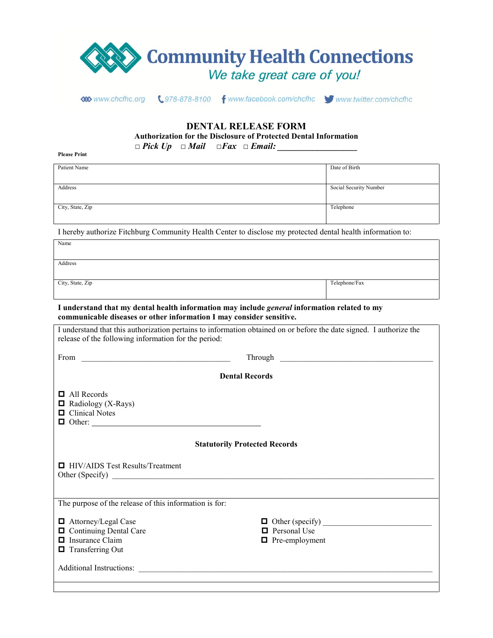

**DENTAL RELEASE FORM**

**Authorization for the Disclosure of Protected Dental Information**

*□ Pick Up □ Mail □Fax □ Email: \_\_\_\_\_\_\_\_\_\_\_\_\_\_\_\_\_\_*

**Please Print**

| Patient Name     | Date of Birth          |
|------------------|------------------------|
|                  |                        |
|                  |                        |
|                  |                        |
|                  |                        |
| Address          | Social Security Number |
|                  |                        |
|                  |                        |
|                  |                        |
|                  |                        |
| City, State, Zip | Telephone              |
|                  |                        |
|                  |                        |
|                  |                        |
|                  |                        |

I hereby authorize Fitchburg Community Health Center to disclose my protected dental health information to:

| Name             |               |
|------------------|---------------|
|                  |               |
| Address          |               |
|                  |               |
| City, State, Zip | Telephone/Fax |
|                  |               |

**I understand that my dental health information may include** *general* **information related to my communicable diseases or other information I may consider sensitive.**

| I understand that this authorization pertains to information obtained on or before the date signed. I authorize the |                                      |  |  |  |  |
|---------------------------------------------------------------------------------------------------------------------|--------------------------------------|--|--|--|--|
| release of the following information for the period:                                                                |                                      |  |  |  |  |
| From $\overline{\qquad \qquad }$                                                                                    |                                      |  |  |  |  |
| <b>Dental Records</b>                                                                                               |                                      |  |  |  |  |
|                                                                                                                     |                                      |  |  |  |  |
| $\Box$ All Records                                                                                                  |                                      |  |  |  |  |
| $\Box$ Radiology (X-Rays)                                                                                           |                                      |  |  |  |  |
| $\Box$ Clinical Notes                                                                                               |                                      |  |  |  |  |
| $\Box$ Other:                                                                                                       |                                      |  |  |  |  |
|                                                                                                                     |                                      |  |  |  |  |
|                                                                                                                     | <b>Statutorily Protected Records</b> |  |  |  |  |
| $\Box$ HIV/AIDS Test Results/Treatment                                                                              |                                      |  |  |  |  |
|                                                                                                                     |                                      |  |  |  |  |
|                                                                                                                     |                                      |  |  |  |  |
| The purpose of the release of this information is for:                                                              |                                      |  |  |  |  |
| □ Attorney/Legal Case                                                                                               |                                      |  |  |  |  |
| □ Continuing Dental Care                                                                                            | <b>D</b> Personal Use                |  |  |  |  |
| $\Box$ Insurance Claim                                                                                              | $\blacksquare$ Pre-employment        |  |  |  |  |
| $\Box$ Transferring Out                                                                                             |                                      |  |  |  |  |
|                                                                                                                     |                                      |  |  |  |  |